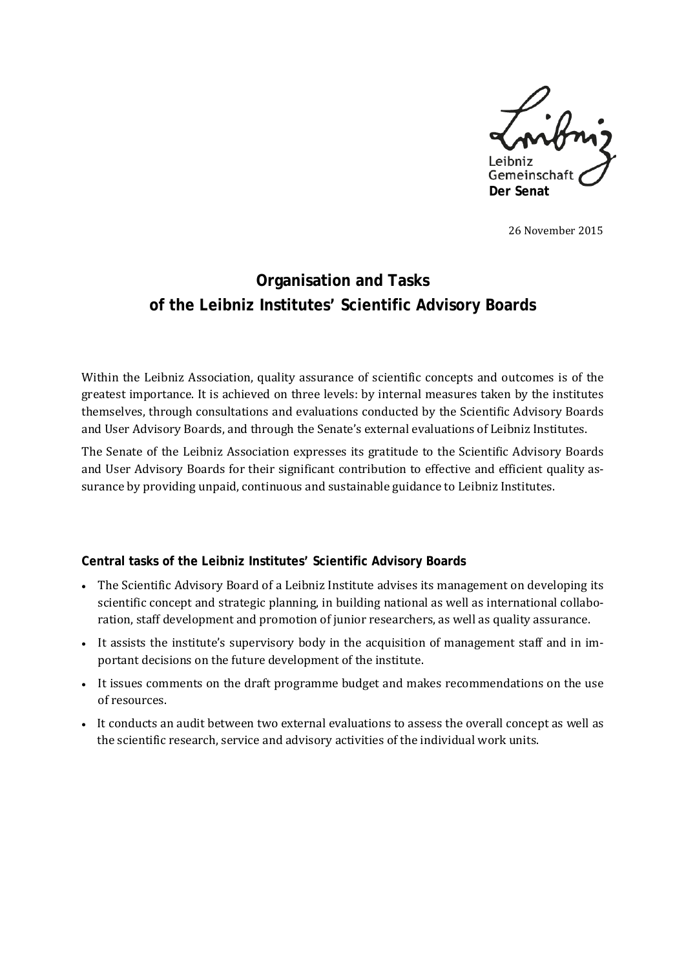

26 November 2015

# **Organisation and Tasks of the Leibniz Institutes' Scientific Advisory Boards**

Within the Leibniz Association, quality assurance of scientific concepts and outcomes is of the greatest importance. It is achieved on three levels: by internal measures taken by the institutes themselves, through consultations and evaluations conducted by the Scientific Advisory Boards and User Advisory Boards, and through the Senate's external evaluations of Leibniz Institutes.

The Senate of the Leibniz Association expresses its gratitude to the Scientific Advisory Boards and User Advisory Boards for their significant contribution to effective and efficient quality assurance by providing unpaid, continuous and sustainable guidance to Leibniz Institutes.

#### **Central tasks of the Leibniz Institutes' Scientific Advisory Boards**

- The Scientific Advisory Board of a Leibniz Institute advises its management on developing its scientific concept and strategic planning, in building national as well as international collaboration, staff development and promotion of junior researchers, as well as quality assurance.
- It assists the institute's supervisory body in the acquisition of management staff and in important decisions on the future development of the institute.
- It issues comments on the draft programme budget and makes recommendations on the use of resources.
- It conducts an audit between two external evaluations to assess the overall concept as well as the scientific research, service and advisory activities of the individual work units.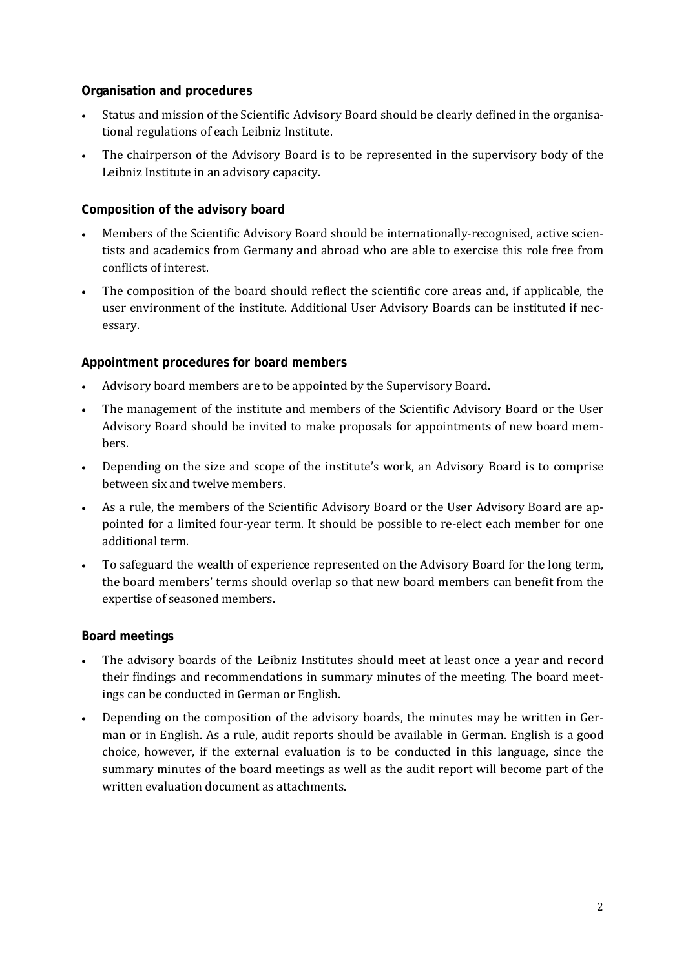#### **Organisation and procedures**

- Status and mission of the Scientific Advisory Board should be clearly defined in the organisational regulations of each Leibniz Institute.
- The chairperson of the Advisory Board is to be represented in the supervisory body of the Leibniz Institute in an advisory capacity.

# **Composition of the advisory board**

- Members of the Scientific Advisory Board should be internationally-recognised, active scientists and academics from Germany and abroad who are able to exercise this role free from conflicts of interest.
- The composition of the board should reflect the scientific core areas and, if applicable, the user environment of the institute. Additional User Advisory Boards can be instituted if necessary.

# **Appointment procedures for board members**

- Advisory board members are to be appointed by the Supervisory Board.
- The management of the institute and members of the Scientific Advisory Board or the User Advisory Board should be invited to make proposals for appointments of new board members.
- Depending on the size and scope of the institute's work, an Advisory Board is to comprise between six and twelve members.
- As a rule, the members of the Scientific Advisory Board or the User Advisory Board are appointed for a limited four-year term. It should be possible to re-elect each member for one additional term.
- To safeguard the wealth of experience represented on the Advisory Board for the long term, the board members' terms should overlap so that new board members can benefit from the expertise of seasoned members.

# **Board meetings**

- The advisory boards of the Leibniz Institutes should meet at least once a year and record their findings and recommendations in summary minutes of the meeting. The board meetings can be conducted in German or English.
- Depending on the composition of the advisory boards, the minutes may be written in German or in English. As a rule, audit reports should be available in German. English is a good choice, however, if the external evaluation is to be conducted in this language, since the summary minutes of the board meetings as well as the audit report will become part of the written evaluation document as attachments.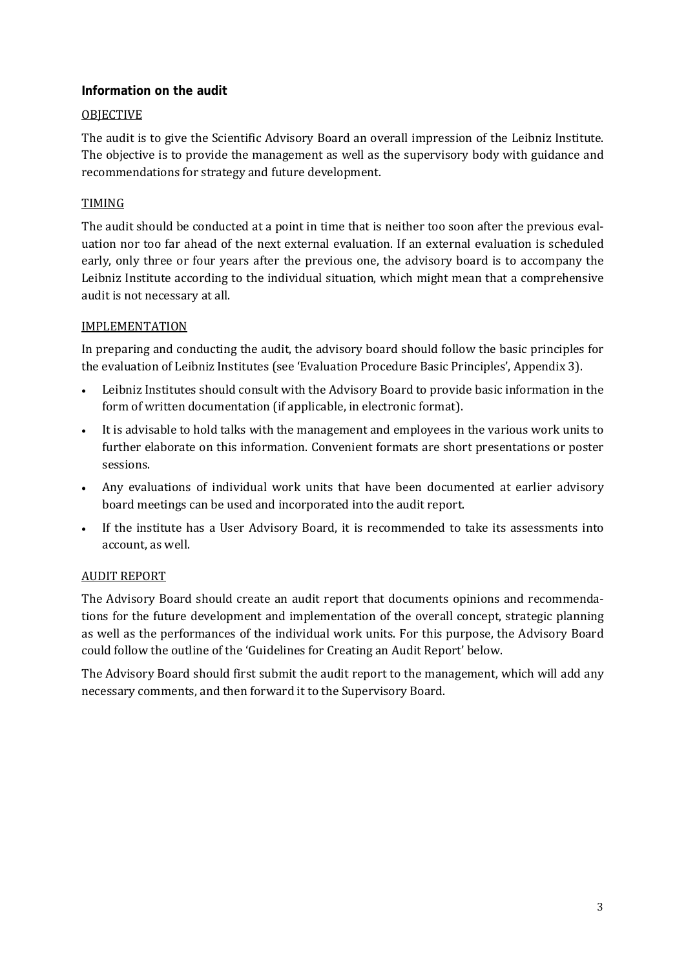#### **Information on the audit**

#### **OBJECTIVE**

The audit is to give the Scientific Advisory Board an overall impression of the Leibniz Institute. The objective is to provide the management as well as the supervisory body with guidance and recommendations for strategy and future development.

# TIMING

The audit should be conducted at a point in time that is neither too soon after the previous evaluation nor too far ahead of the next external evaluation. If an external evaluation is scheduled early, only three or four years after the previous one, the advisory board is to accompany the Leibniz Institute according to the individual situation, which might mean that a comprehensive audit is not necessary at all.

#### IMPLEMENTATION

In preparing and conducting the audit, the advisory board should follow the basic principles for the evaluation of Leibniz Institutes (see 'Evaluation Procedure Basic Principles', Appendix 3).

- Leibniz Institutes should consult with the Advisory Board to provide basic information in the form of written documentation (if applicable, in electronic format).
- It is advisable to hold talks with the management and employees in the various work units to further elaborate on this information. Convenient formats are short presentations or poster sessions.
- Any evaluations of individual work units that have been documented at earlier advisory board meetings can be used and incorporated into the audit report.
- If the institute has a User Advisory Board, it is recommended to take its assessments into account, as well.

# AUDIT REPORT

The Advisory Board should create an audit report that documents opinions and recommendations for the future development and implementation of the overall concept, strategic planning as well as the performances of the individual work units. For this purpose, the Advisory Board could follow the outline of the 'Guidelines for Creating an Audit Report' below.

The Advisory Board should first submit the audit report to the management, which will add any necessary comments, and then forward it to the Supervisory Board.